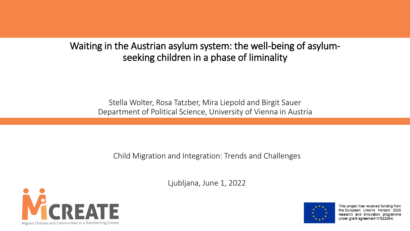#### Waiting in the Austrian asylum system: the well-being of asylumseeking children in a phase of liminality

Stella Wolter, Rosa Tatzber, Mira Liepold and Birgit Sauer Department of Political Science, University of Vienna in Austria

Child Migration and Integration: Trends and Challenges

Ljubljana, June 1, 2022





This project has received funding from the European Union's Horizon 2020 research and innovation programme under grant agreement N°822664.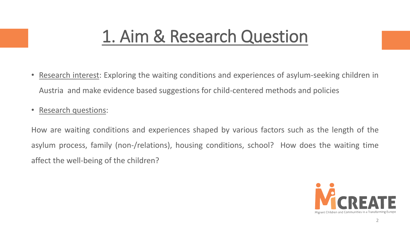#### 1. Aim & Research Question

- Research interest: Exploring the waiting conditions and experiences of asylum-seeking children in Austria and make evidence based suggestions for child-centered methods and policies
- Research questions:

How are waiting conditions and experiences shaped by various factors such as the length of the asylum process, family (non-/relations), housing conditions, school? How does the waiting time affect the well-being of the children?

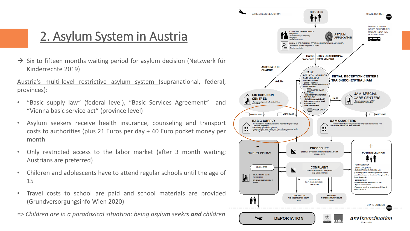#### 2. Asylum System in Austria

 $\rightarrow$  Six to fifteen months waiting period for asylum decision (Netzwerk für Kinderrechte 2019)

Austria's multi-level restrictive asylum system (supranational, federal, provinces):

- "Basic supply law" (federal level), "Basic Services Agreement" and "Vienna basic service act" (province level)
- Asylum seekers receive health insurance, counseling and transport costs to authorities (plus 21 Euros per day + 40 Euro pocket money per month
- Only restricted access to the labor market (after 3 month waiting; Austrians are preferred)
- Children and adolescents have to attend regular schools until the age of 15
- Travel costs to school are paid and school materials are provided (Grundversorgungsinfo Wien 2020)
- *=> Children are in a paradoxical situation: being asylum seekrs and children*

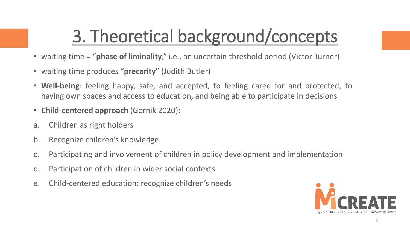## 3. Theoretical background/concepts

- waiting time = "**phase of liminality**," i.e., an uncertain threshold period (Victor Turner)
- waiting time produces "**precarity**" (Judith Butler)
- **Well-being**: feeling happy, safe, and accepted, to feeling cared for and protected, to having own spaces and access to education, and being able to participate in decisions
- **Child-centered approach** (Gornik 2020):
- a. Children as right holders
- b. Recognize children's knowledge
- c. Participating and involvement of children in policy development and implementation
- d. Participation of children in wider social contexts
- e. Child-centered education: recognize children's needs

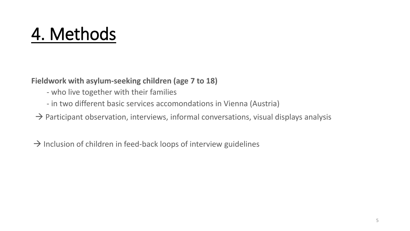#### 4. Methods

**Fieldwork with asylum-seeking children (age 7 to 18)**

- who live together with their families
- in two different basic services accomondations in Vienna (Austria)
- $\rightarrow$  Participant observation, interviews, informal conversations, visual displays analysis
- $\rightarrow$  Inclusion of children in feed-back loops of interview guidelines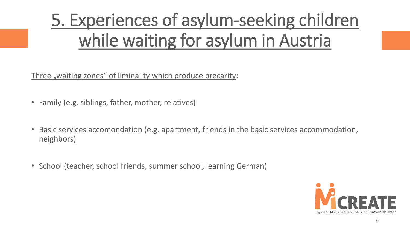## 5. Experiences of asylum-seeking children while waiting for asylum in Austria

Three "waiting zones" of liminality which produce precarity:

- Family (e.g. siblings, father, mother, relatives)
- Basic services accomondation (e.g. apartment, friends in the basic services accommodation, neighbors)
- School (teacher, school friends, summer school, learning German)

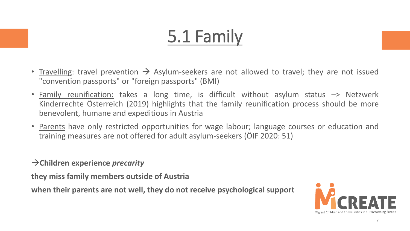## 5.1 Family

- Travelling: travel prevention  $\rightarrow$  Asylum-seekers are not allowed to travel; they are not issued "convention passports" or "foreign passports" (BMI)
- Family reunification: takes a long time, is difficult without asylum status *–>* Netzwerk Kinderrechte Österreich (2019) highlights that the family reunification process should be more benevolent, humane and expeditious in Austria
- Parents have only restricted opportunities for wage labour; language courses or education and training measures are not offered for adult asylum-seekers (ÖIF 2020: 51)
- →**Children experience** *precarity*

**they miss family members outside of Austria**

**when their parents are not well, they do not receive psychological support**

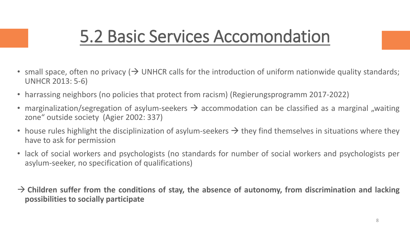#### 5.2 Basic Services Accomondation

- small space, often no privacy ( $\rightarrow$  UNHCR calls for the introduction of uniform nationwide quality standards; UNHCR 2013: 5-6)
- harrassing neighbors (no policies that protect from racism) (Regierungsprogramm 2017-2022)
- marginalization/segregation of asylum-seekers  $\rightarrow$  accommodation can be classified as a marginal "waiting zone" outside society (Agier 2002: 337)
- house rules highlight the disciplinization of asylum-seekers  $\rightarrow$  they find themselves in situations where they have to ask for permission
- lack of social workers and psychologists (no standards for number of social workers and psychologists per asylum-seeker, no specification of qualifications)
- → **Children suffer from the conditions of stay, the absence of autonomy, from discrimination and lacking possibilities to socially participate**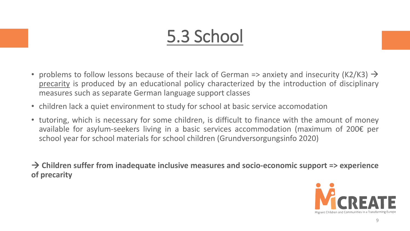### 5.3 School

- problems to follow lessons because of their lack of German => anxiety and insecurity (K2/K3)  $\rightarrow$ precarity is produced by an educational policy characterized by the introduction of disciplinary measures such as separate German language support classes
- children lack a quiet environment to study for school at basic service accomodation
- tutoring, which is necessary for some children, is difficult to finance with the amount of money available for asylum-seekers living in a basic services accommodation (maximum of 200€ per school year for school materials for school children (Grundversorgungsinfo 2020)

→ **Children suffer from inadequate inclusive measures and socio-economic support => experience of precarity**

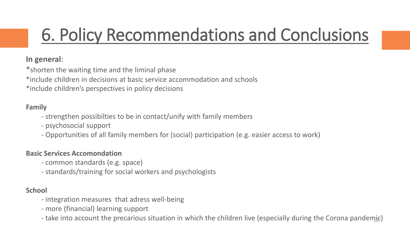### 6. Policy Recommendations and Conclusions

#### **In general**:

\*shorten the waiting time and the liminal phase

\*include children in decisions at basic service accommodation and schools

\*include children's perspectives in policy decisions

#### **Family**

- strengthen possibilties to be in contact/unify with family members
- psychosocial support
- Opportunities of all family members for (social) participation (e.g. easier access to work)

#### **Basic Services Accomondation**

- common standards (e.g. space)
- standards/training for social workers and psychologists

#### **School**

- integration measures that adress well-being
- more (financial) learning support
- take into account the precarious situation in which the children live (especially during the Corona pandemic)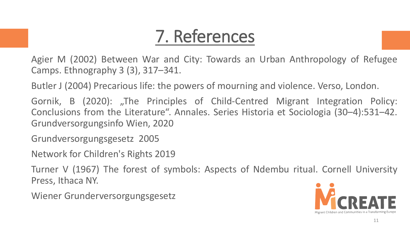### 7. References

Agier M (2002) Between War and City: Towards an Urban Anthropology of Refugee Camps. Ethnography 3 (3), 317–341.

Butler J (2004) Precarious life: the powers of mourning and violence. Verso, London.

Gornik, B (2020): "The Principles of Child-Centred Migrant Integration Policy: Conclusions from the Literature". Annales. Series Historia et Sociologia (30–4):531–42. Grundversorgungsinfo Wien, 2020

Grundversorgungsgesetz 2005

Network for Children's Rights 2019

Turner V (1967) The forest of symbols: Aspects of Ndembu ritual. Cornell University Press, Ithaca NY.

Wiener Grunderversorgungsgesetz